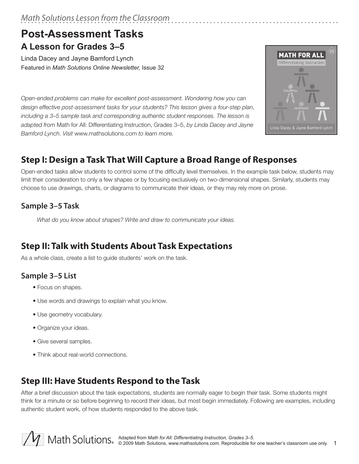# *Math Solutions Lesson from the Classroom*

# **Post-Assessment Tasks A Lesson for Grades 3–5**

Linda Dacey and Jayne Bamford Lynch Featured in *Math Solutions Online Newsletter,* Issue 32

*Open-ended problems can make for excellent post-assessment. Wondering how you can design effective post-assessment tasks for your students? This lesson gives a four-step plan, including a 3–5 sample task and corresponding authentic student responses. The lesson is adapted from* Math for All: Differentiating Instruction, Grades 3–5, *by Linda Dacey and Jayne Bamford Lynch. Visit* www.mathsolutions.com *to learn more.* 



# **Step I: Design a Task That Will Capture a Broad Range of Responses**

Open-ended tasks allow students to control some of the difficulty level themselves. In the example task below, students may limit their consideration to only a few shapes or by focusing exclusively on two-dimensional shapes. Similarly, students may choose to use drawings, charts, or diagrams to communicate their ideas, or they may rely more on prose.

#### **Sample 3–5 Task**

*What do you know about shapes? Write and draw to communicate your ideas.* 

# **Step II: Talk with Students About Task Expectations**

As a whole class, create a list to guide students' work on the task.

#### **Sample 3–5 List**

- Focus on shapes.
- Use words and drawings to explain what you know.
- Use geometry vocabulary.
- Organize your ideas.
- Give several samples.
- Think about real-world connections.

# **Step III: Have Students Respond to the Task**

After a brief discussion about the task expectations, students are normally eager to begin their task. Some students might think for a minute or so before beginning to record their ideas, but most begin immediately. Following are examples, including authentic student work, of how students responded to the above task.

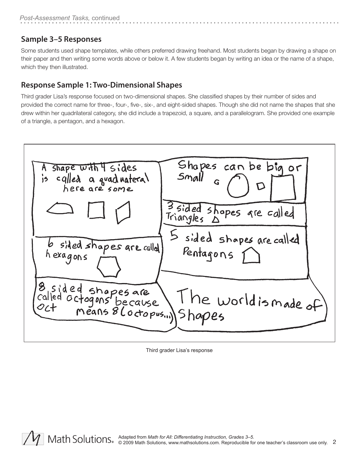#### **Sample 3–5 Responses**

Some students used shape templates, while others preferred drawing freehand. Most students began by drawing a shape on their paper and then writing some words above or below it. A few students began by writing an idea or the name of a shape, which they then illustrated.

#### **Response Sample 1: Two-Dimensional Shapes**

Third grader Lisa's response focused on two-dimensional shapes. She classified shapes by their number of sides and provided the correct name for three-, four-, five-, six-, and eight-sided shapes. Though she did not name the shapes that she drew within her quadrilateral category, she did include a trapezoid, a square, and a parallelogram. She provided one example of a triangle, a pentagon, and a hexagon.



Third grader Lisa's response

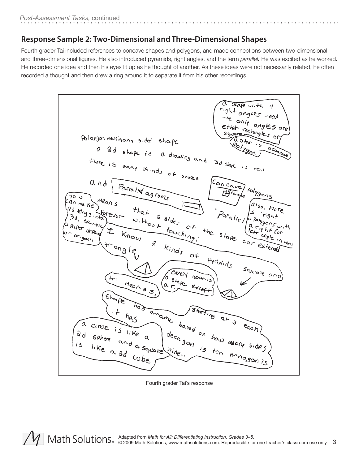#### **Response Sample 2: Two-Dimensional and Three-Dimensional Shapes**

Fourth grader Tai included references to concave shapes and polygons, and made connections between two-dimensional and three-dimensional figures. He also introduced pyramids, right angles, and the term *parallel.* He was excited as he worked. He recorded one idea and then his eyes lit up as he thought of another. As these ideas were not necessarily related, he often recorded a thought and then drew a ring around it to separate it from his other recordings.



Fourth grader Tai's response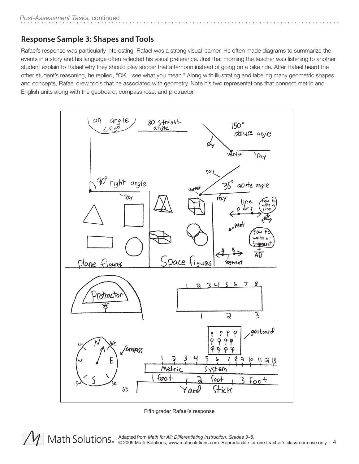#### **Response Sample 3: Shapes and Tools**

Rafael's response was particularly interesting. Rafael was a strong visual learner. He often made diagrams to summarize the events in a story and his language often reflected his visual preference. Just that morning the teacher was listening to another student explain to Rafael why they should play soccer that afternoon instead of going on a bike ride. After Rafael heard the other student's reasoning, he replied, "OK, I see what you mean." Along with illustrating and labeling many geometric shapes and concepts, Rafael drew tools that he associated with geometry. Note his two representations that connect metric and English units along with the geoboard, compass rose, and protractor.



Fifth grader Rafael's response